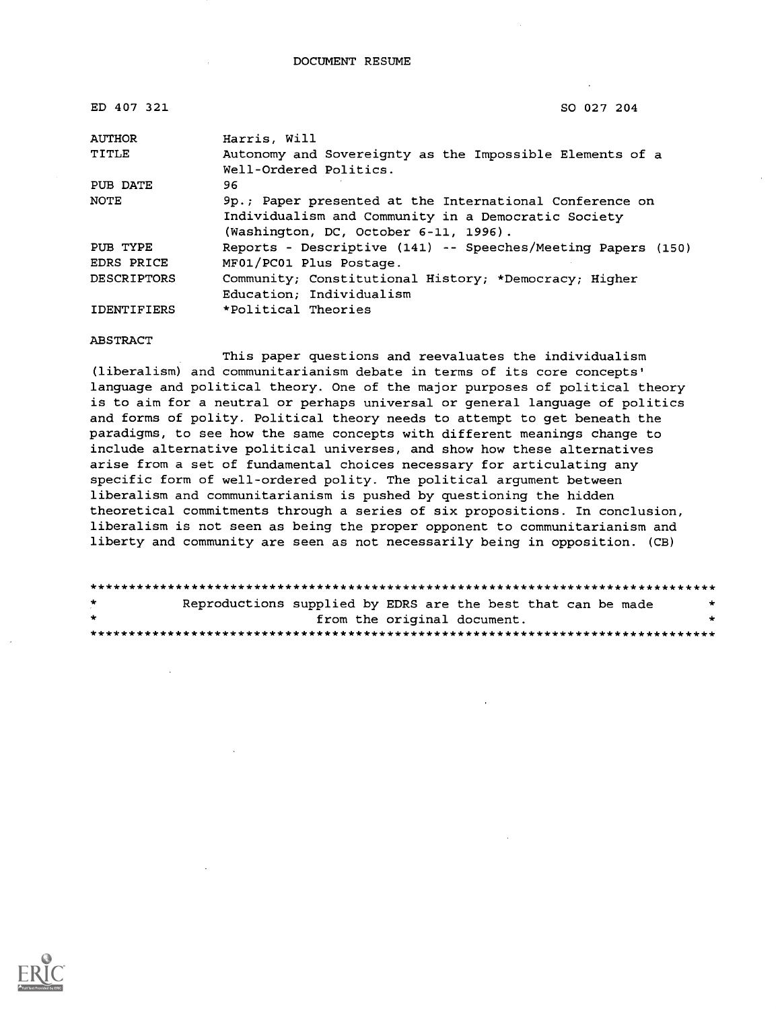| ED 407 321         | SO 027 204                                                   |
|--------------------|--------------------------------------------------------------|
| <b>AUTHOR</b>      | Harris, Will                                                 |
| TITLE              | Autonomy and Sovereignty as the Impossible Elements of a     |
|                    | Well-Ordered Politics.                                       |
| PUB DATE           | 96.                                                          |
| <b>NOTE</b>        | 9p.; Paper presented at the International Conference on      |
|                    | Individualism and Community in a Democratic Society          |
|                    | (Washington, DC, October 6-11, 1996).                        |
| PUB TYPE           | Reports - Descriptive (141) -- Speeches/Meeting Papers (150) |
| EDRS PRICE         | MF01/PC01 Plus Postage.                                      |
| <b>DESCRIPTORS</b> | Community; Constitutional History; *Democracy; Higher        |
|                    | Education: Individualism                                     |
| <b>IDENTIFIERS</b> | *Political Theories                                          |

#### ABSTRACT

This paper questions and reevaluates the individualism (liberalism) and communitarianism debate in terms of its core concepts' language and political theory. One of the major purposes of political theory is to aim for a neutral or perhaps universal or general language of politics and forms of polity. Political theory needs to attempt to get beneath the paradigms, to see how the same concepts with different meanings change to include alternative political universes, and show how these alternatives arise from a set of fundamental choices necessary for articulating any specific form of well-ordered polity. The political argument between liberalism and communitarianism is pushed by questioning the hidden theoretical commitments through a series of six propositions. In conclusion, liberalism is not seen as being the proper opponent to communitarianism and liberty and community are seen as not necessarily being in opposition. (CB)

| $\star$      | Reproductions supplied by EDRS are the best that can be made |  |  |                             | $\star$ |  |
|--------------|--------------------------------------------------------------|--|--|-----------------------------|---------|--|
| $\mathbf{r}$ |                                                              |  |  | from the original document. | $\star$ |  |
|              |                                                              |  |  |                             |         |  |

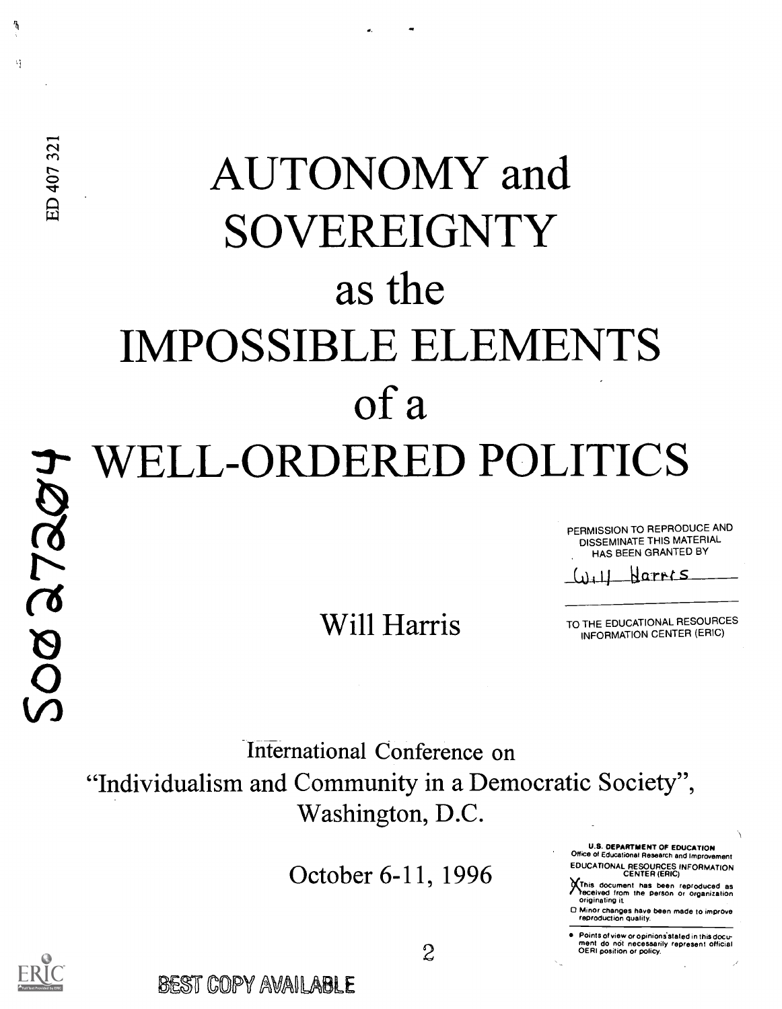# AUTONOMY and SOVEREIGNTY as the IMPOSSIBLE ELEMENTS of a WELL-ORDERED POLITICS

PERMISSION TO REPRODUCE AND DISSEMINATE THIS MATERIAL HAS BEEN GRANTED BY

Rartt s للدليا

Will Harris TO THE EDUCATIONAL RESOURCES INFORMATION CENTER (ERIC)

International Conference on "Individualism and Community in a Democratic Society", Washington, D.C.

October 6-11, 1996

U.S. DEPARTMENT OF EDUCATION Office of Educational Research and Improvement EDUCATIONAL RESOURCES INFORMATION CENTER (ERIC)

This document has been reproduced as<br>received from the person or organization originating it

0 Minor changes have been made to improve reproduction quality.

Points of view or opinions stated in this docu-<br>ment do not necessarily represent official<br>OERI position or policy.

ħ

 $\mathcal{N}_I$ 

ED 407 321

BEST COPY AVAILABLE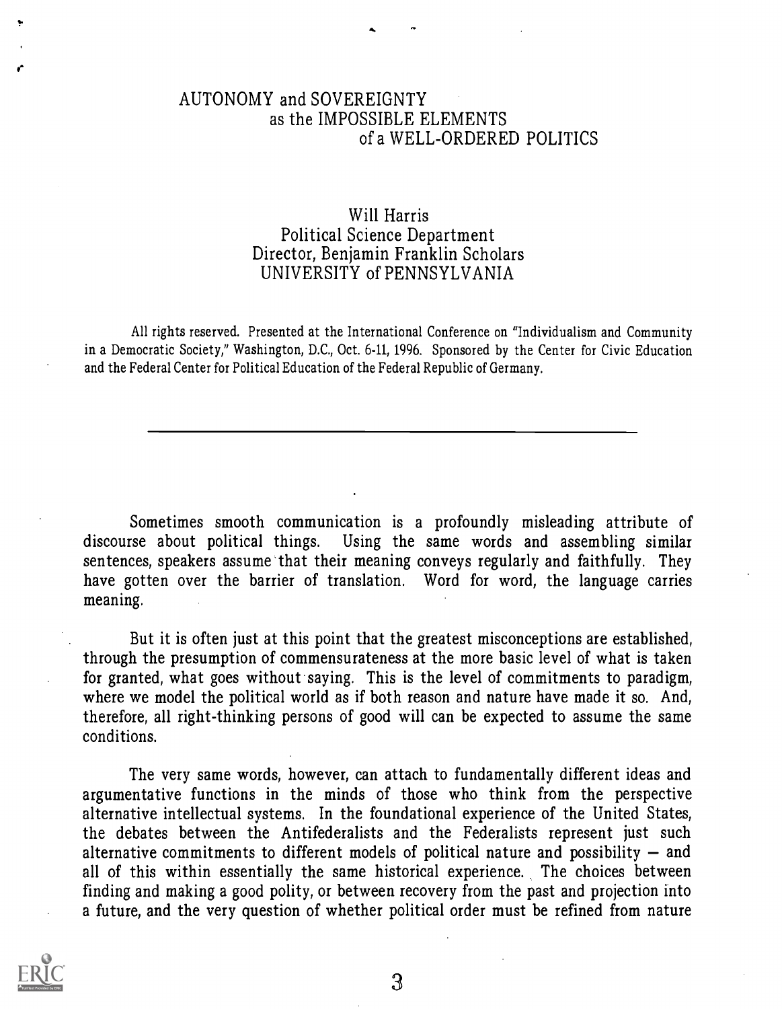#### AUTONOMY and SOVEREIGNTY as the IMPOSSIBLE ELEMENTS of a WELL-ORDERED POLITICS

### Will Harris Political Science Department Director, Benjamin Franklin Scholars UNIVERSITY of PENNSYLVANIA

All rights reserved. Presented at the International Conference on "Individualism and Community in a Democratic Society," Washington, D.C., Oct. 6-11, 1996. Sponsored by the Center for Civic Education and the Federal Center for Political Education of the Federal Republic of Germany.

Sometimes smooth communication is a profoundly misleading attribute of discourse about political things. Using the same words and assembling similar Using the same words and assembling similar sentences, speakers assume that their meaning conveys regularly and faithfully. They have gotten over the barrier of translation. Word for word, the language carries meaning.

But it is often just at this point that the greatest misconceptions are established, through the presumption of commensurateness at the more basic level of what is taken for granted, what goes without saying. This is the level of commitments to paradigm, where we model the political world as if both reason and nature have made it so. And, therefore, all right-thinking persons of good will can be expected to assume the same conditions.

The very same words, however, can attach to fundamentally different ideas and argumentative functions in the minds of those who think from the perspective alternative intellectual systems. In the foundational experience of the United States, the debates between the Antifederalists and the Federalists represent just such alternative commitments to different models of political nature and possibility  $-$  and all of this within essentially the same historical experience. The choices between finding and making a good polity, or between recovery from the past and projection into a future, and the very question of whether political order must be refined from nature

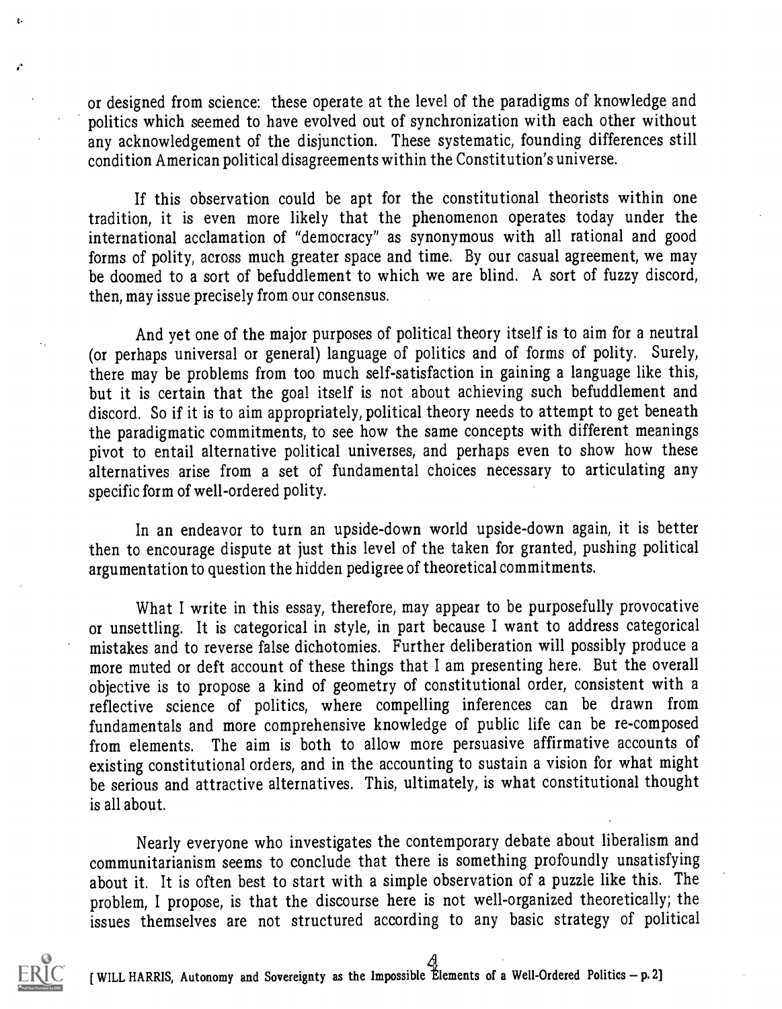or designed from science: these operate at the level of the paradigms of knowledge and politics which seemed to have evolved out of synchronization with each other without any acknowledgement of the disjunction. These systematic, founding differences still condition American political disagreements within the Constitution's universe.

If this observation could be apt for the constitutional theorists within one tradition, it is even more likely that the phenomenon operates today under the international acclamation of "democracy" as synonymous with all rational and good forms of polity, across much greater space and time. By our casual agreement, we may be doomed to a sort of befuddlement to which we are blind. A sort of fuzzy discord, then, may issue precisely from our consensus.

And yet one of the major purposes of political theory itself is to aim for a neutral (or perhaps universal or general) language of politics and of forms of polity. Surely, there may be problems from too much self-satisfaction in gaining a language like this, but it is certain that the goal itself is not about achieving such befuddlement and discord. So if it is to aim appropriately, political theory needs to attempt to get beneath the paradigmatic commitments, to see how the same concepts with different meanings pivot to entail alternative political universes, and perhaps even to show how these alternatives arise from a set of fundamental choices necessary to articulating any specific form of well-ordered polity.

In an endeavor to turn an upside-down world upside-down again, it is better then to encourage dispute at just this level of the taken for granted, pushing political argumentation to question the hidden pedigree of theoretical commitments.

What I write in this essay, therefore, may appear to be purposefully provocative or unsettling. It is categorical in style, in part because I want to address categorical mistakes and to reverse false dichotomies. Further deliberation will possibly produce a more muted or deft account of these things that I am presenting here. But the overall objective is to propose a kind of geometry of constitutional order, consistent with a reflective science of politics, where compelling inferences can be drawn from fundamentals and more comprehensive knowledge of public life can be re-composed from elements. The aim is both to allow more persuasive affirmative accounts of existing constitutional orders, and in the accounting to sustain a vision for what might be serious and attractive alternatives. This, ultimately, is what constitutional thought is all about.

Nearly everyone who investigates the contemporary debate about liberalism and communitarianism seems to conclude that there is something profoundly unsatisfying about it. It is often best to start with a simple observation of a puzzle like this. The problem, I propose, is that the discourse here is not well-organized theoretically; the issues themselves are not structured according to any basic strategy of political



Ł.

[ WILL HARRIS, Autonomy and Sovereignty as the Impossible Elements of a Well-Ordered Politics - p. 2]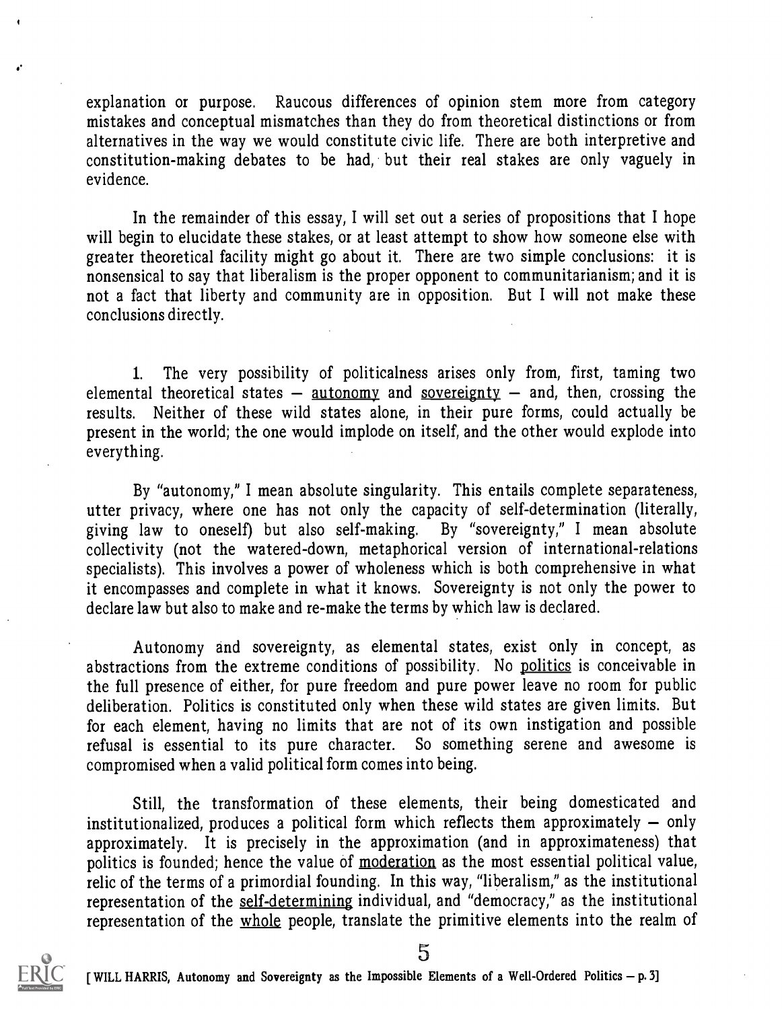explanation or purpose. Raucous differences of opinion stem more from category mistakes and conceptual mismatches than they do from theoretical distinctions or from alternatives in the way we would constitute civic life. There are both interpretive and constitution-making debates to be had, but their real stakes are only vaguely in evidence.

In the remainder of this essay, I will set out a series of propositions that I hope will begin to elucidate these stakes, or at least attempt to show how someone else with greater theoretical facility might go about it. There are two simple conclusions: it is nonsensical to say that liberalism is the proper opponent to communitarianism; and it is not a fact that liberty and community are in opposition. But I will not make these conclusions directly.

1. The very possibility of politicalness arises only from, first, taming two elemental theoretical states  $-$  autonomy and sovereignty  $-$  and, then, crossing the results. Neither of these wild states alone, in their pure forms, could actually be present in the world; the one would implode on itself, and the other would explode into everything.

By "autonomy," I mean absolute singularity. This entails complete separateness, utter privacy, where one has not only the capacity of self-determination (literally, giving law to oneself) but also self-making. By "sovereignty," <sup>I</sup> mean absolute collectivity (not the watered-down, metaphorical version of international-relations specialists). This involves a power of wholeness which is both comprehensive in what it encompasses and complete in what it knows. Sovereignty is not only the power to declare law but also to make and re-make the terms by which law is declared.

Autonomy and sovereignty, as elemental states, exist only in concept, as abstractions from the extreme conditions of possibility. No politics is conceivable in the full presence of either, for pure freedom and pure power leave no room for public deliberation. Politics is constituted only when these wild states are given limits. But for each element, having no limits that are not of its own instigation and possible refusal is essential to its pure character. So something serene and awesome is compromised when a valid political form comes into being.

Still, the transformation of these elements, their being domesticated and institutionalized, produces a political form which reflects them approximately  $-$  only approximately. It is precisely in the approximation (and in approximateness) that politics is founded; hence the value of moderation as the most essential political value, relic of the terms of a primordial founding. In this way, "liberalism," as the institutional representation of the self-determining individual, and "democracy," as the institutional representation of the whole people, translate the primitive elements into the realm of



5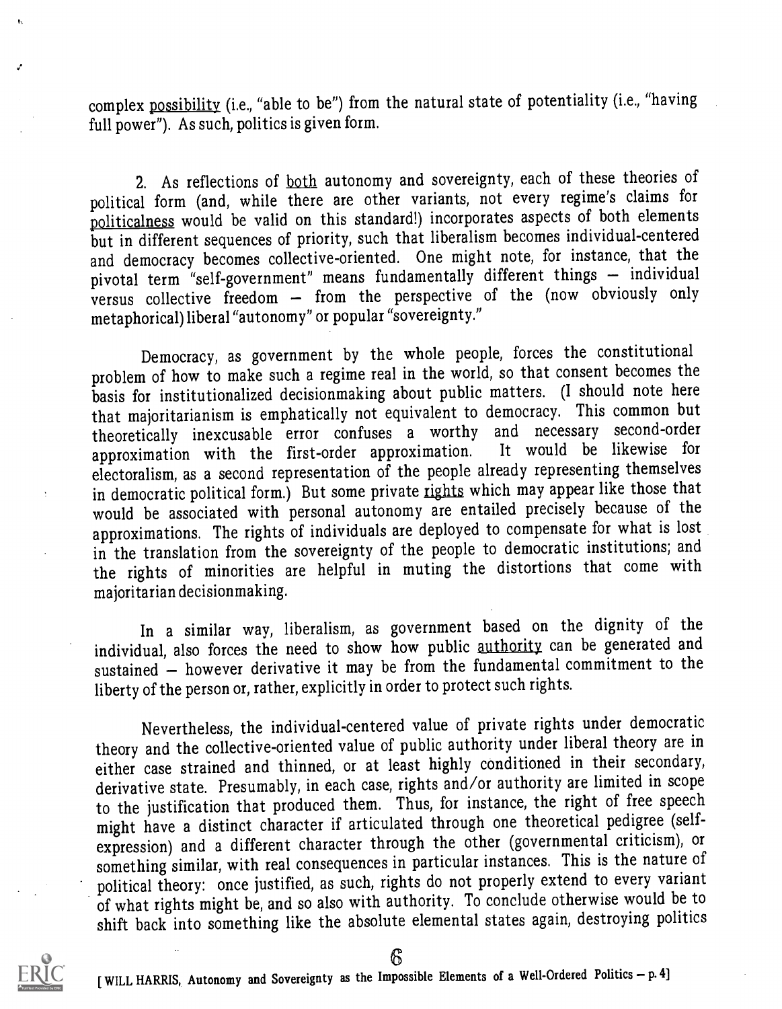complex possibility (i.e., "able to be") from the natural state of potentiality (i.e., "having full power"). As such, politics is given form.

2. As reflections of both autonomy and sovereignty, each of these theories of political form (and, while there are other variants, not every regime's claims for politicalness would be valid on this standard!) incorporates aspects of both elements but in different sequences of priority, such that liberalism becomes individual-centered and democracy becomes collective-oriented. One might note, for instance, that the pivotal term "self-government" means fundamentally different things - individual versus collective freedom  $-$  from the perspective of the (now obviously only metaphorical) liberal "autonomy" or popular "sovereignty."

Democracy, as government by the whole people, forces the constitutional problem of how to make such a regime real in the world, so that consent becomes the basis for institutionalized decisionmaking about public matters. (I should note here that majoritarianism is emphatically not equivalent to democracy. This common but theoretically inexcusable error confuses a worthy and necessary second-order<br>annroximation with the first-order approximation. It would be likewise for approximation with the first-order approximation. electoralism, as a second representation of the people already representing themselves in democratic political form.) But some private rights which may appear like those that would be associated with personal autonomy are entailed precisely because of the approximations. The rights of individuals are deployed to compensate for what is lost in the translation from the sovereignty of the people to democratic institutions; and the rights of minorities are helpful in muting the distortions that come with majoritarian decision making.

In a similar way, liberalism, as government based on the dignity of the individual, also forces the need to show how public authority can be generated and sustained - however derivative it may be from the fundamental commitment to the liberty of the person or, rather, explicitly in order to protect such rights.

Nevertheless, the individual-centered value of private rights under democratic theory and the collective-oriented value of public authority under liberal theory are in either case strained and thinned, or at least highly conditioned in their secondary, derivative state. Presumably, in each case, rights and/or authority are limited in scope to the justification that produced them. Thus, for instance, the right of free speech might have a distinct character if articulated through one theoretical pedigree (selfexpression) and a different character through the other (governmental criticism), or something similar, with real consequences in particular instances. This is the nature of political theory: once justified, as such, rights do not properly extend to every variant of what rights might be, and so also with authority. To conclude otherwise would be to shift back into something like the absolute elemental states again, destroying politics



Ь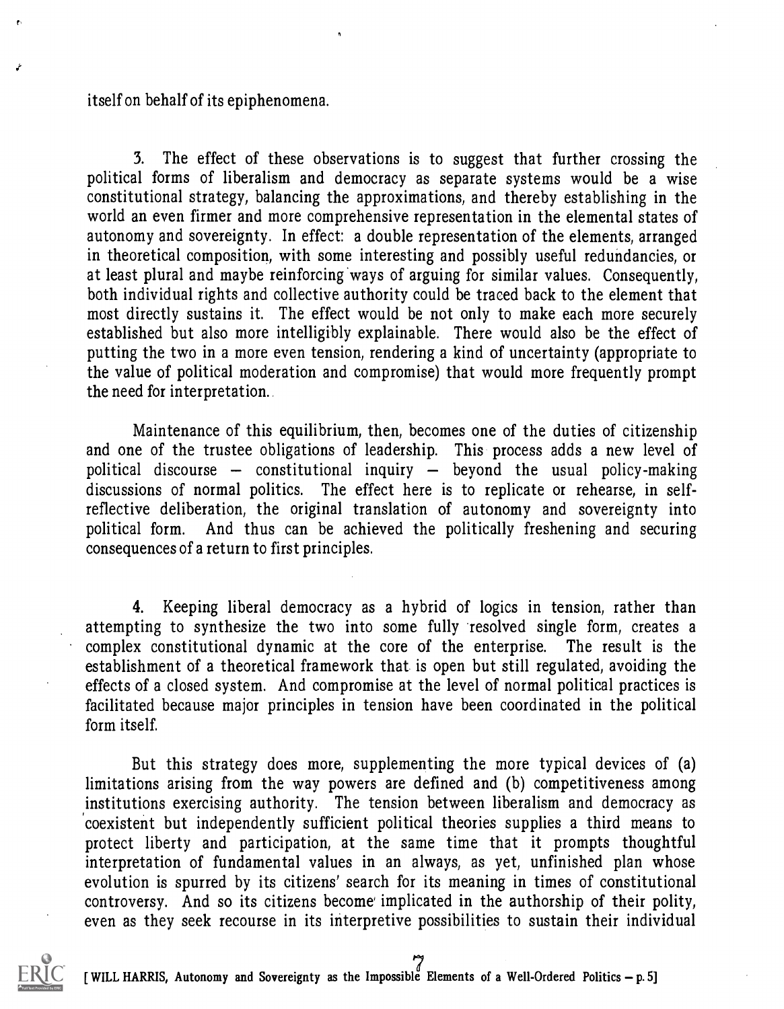#### itself on behalf of its epiphenomena.

3. The effect of these observations is to suggest that further crossing the political forms of liberalism and democracy as separate systems would be a wise constitutional strategy, balancing the approximations, and thereby establishing in the world an even firmer and more comprehensive representation in the elemental states of autonomy and sovereignty. In effect: a double representation of the elements, arranged in theoretical composition, with some interesting and possibly useful redundancies, or at least plural and maybe reinforcing ways of arguing for similar values. Consequently, both individual rights and collective authority could be traced back to the element that most directly sustains it. The effect would be not only to make each more securely established but also more intelligibly explainable. There would also be the effect of putting the two in a more even tension, rendering a kind of uncertainty (appropriate to the value of political moderation and compromise) that would more frequently prompt the need for interpretation..

Maintenance of this equilibrium, then, becomes one of the duties of citizenship and one of the trustee obligations of leadership. This process adds a new level of political discourse  $-$  constitutional inquiry  $-$  beyond the usual policy-making discussions of normal politics. The effect here is to replicate or rehearse, in selfreflective deliberation, the original translation of autonomy and sovereignty into political form. And thus can be achieved the politically freshening and securing consequences of a return to first principles.

4. Keeping liberal democracy as a hybrid of logics in tension, rather than attempting to synthesize the two into some fully resolved single form, creates a complex constitutional dynamic at the core of the enterprise. The result is the establishment of a theoretical framework that is open but still regulated, avoiding the effects of a closed system. And compromise at the level of normal political practices is facilitated because major principles in tension have been coordinated in the political form itself.

But this strategy does more, supplementing the more typical devices of (a) limitations arising from the way powers are defined and (b) competitiveness among institutions exercising authority. The tension between liberalism and democracy as coexistent but independently sufficient political theories supplies a third means to protect liberty and participation, at the same time that it prompts thoughtful interpretation of fundamental values in an always, as yet, unfinished plan whose evolution is spurred by its citizens' search for its meaning in times of constitutional controversy. And so its citizens become implicated in the authorship of their polity, even as they seek recourse in its interpretive possibilities to sustain their individual



[ WILL HARRIS, Autonomy and Sovereignty as the Impossible Elements of a Well-Ordered Politics - p. 5]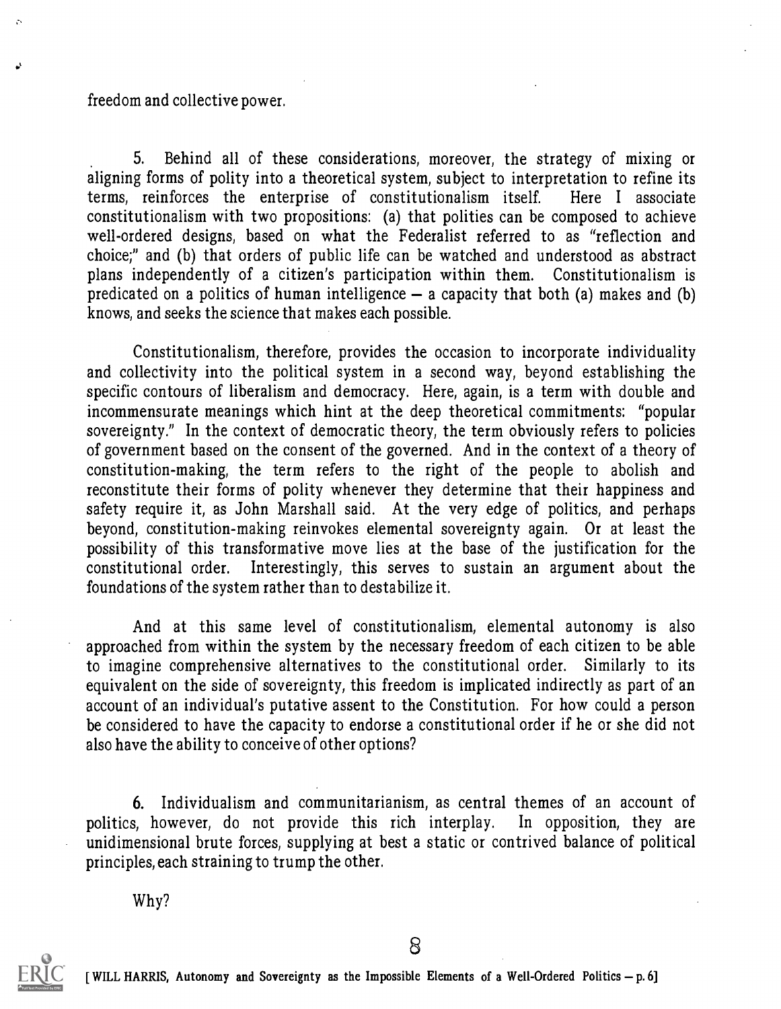#### freedom and collective power.

 $\mathbf{r}$ 

5. Behind all of these considerations, moreover, the strategy of mixing or aligning forms of polity into a theoretical system, subject to interpretation to refine its terms, reinforces the enterprise of constitutionalism itself. Here <sup>I</sup> associate constitutionalism with two propositions: (a) that polities can be composed to achieve well-ordered designs, based on what the Federalist referred to as "reflection and choice;" and (b) that orders of public life can be watched and understood as abstract plans independently of a citizen's participation within them. Constitutionalism is predicated on a politics of human intelligence  $-$  a capacity that both (a) makes and (b) knows, and seeks the science that makes each possible.

Constitutionalism, therefore, provides the occasion to incorporate individuality and collectivity into the political system in a second way, beyond establishing the specific contours of liberalism and democracy. Here, again, is a term with double and incommensurate meanings which hint at the deep theoretical commitments: "popular sovereignty." In the context of democratic theory, the term obviously refers to policies of government based on the consent of the governed. And in the context of a theory of constitution-making, the term refers to the right of the people to abolish and reconstitute their forms of polity whenever they determine that their happiness and safety require it, as John Marshall said. At the very edge of politics, and perhaps beyond, constitution-making reinvokes elemental sovereignty again. Or at least the possibility of this transformative move lies at the base of the justification for the constitutional order. Interestingly, this serves to sustain an argument about the foundations of the system rather than to destabilize it.

And at this same level of constitutionalism, elemental autonomy is also approached from within the system by the necessary freedom of each citizen to be able to imagine comprehensive alternatives to the constitutional order. Similarly to its equivalent on the side of sovereignty, this freedom is implicated indirectly as part of an account of an individual's putative assent to the Constitution. For how could a person be considered to have the capacity to endorse a constitutional order if he or she did not also have the ability to conceive of other options?

6. Individualism and communitarianism, as central themes of an account of politics, however, do not provide this rich interplay. In opposition, they are unidimensional brute forces, supplying at best a static or contrived balance of political principles, each straining to trump the other.

Why?

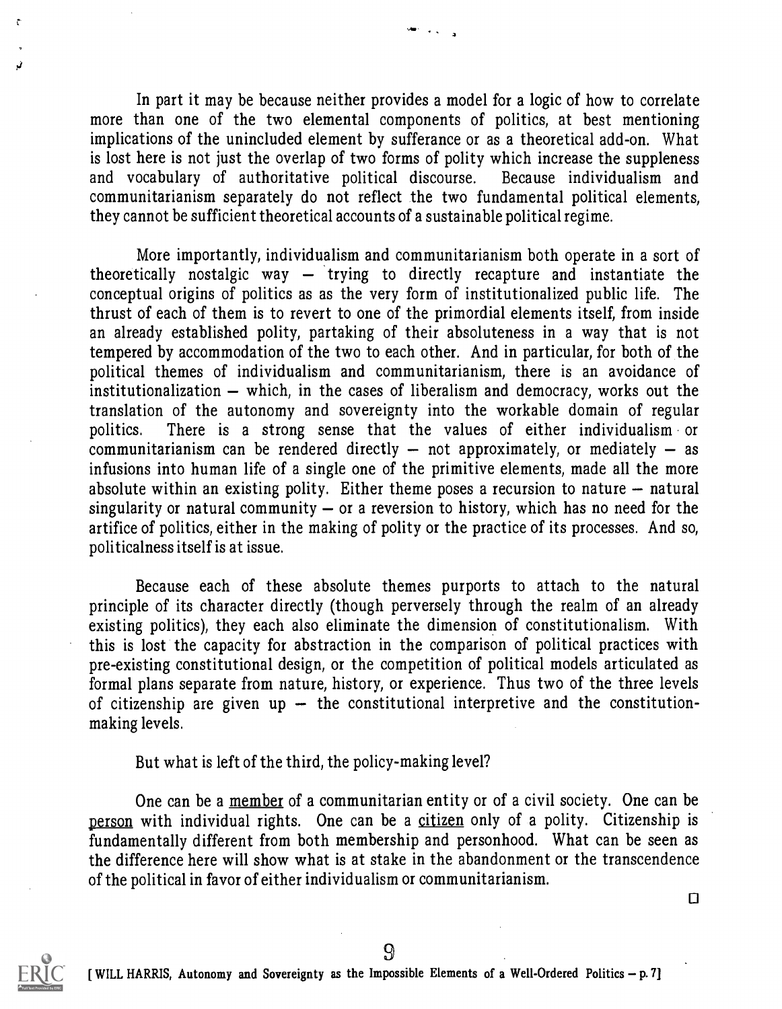In part it may be because neither provides a model for a logic of how to correlate more than one of the two elemental components of politics, at best mentioning implications of the unincluded element by sufferance or as a theoretical add-on. What is lost here is not just the overlap of two forms of polity which increase the suppleness and vocabulary of authoritative political discourse. Because individualism and communitarianism separately do not reflect the two fundamental political elements, they cannot be sufficient theoretical accounts of a sustainable political regime.

star i gjirjin

More importantly, individualism and communitarianism both operate in a sort of theoretically nostalgic way  $-$  trying to directly recapture and instantiate the conceptual origins of politics as as the very form of institutionalized public life. The thrust of each of them is to revert to one of the primordial elements itself, from inside an already established polity, partaking of their absoluteness in a way that is not tempered by accommodation of the two to each other. And in particular, for both of the political themes of individualism and communitarianism, there is an avoidance of institutionalization  $-$  which, in the cases of liberalism and democracy, works out the translation of the autonomy and sovereignty into the workable domain of regular politics. There is <sup>a</sup> strong sense that the values of either individualism or communitarianism can be rendered directly  $-$  not approximately, or mediately  $-$  as infusions into human life of a single one of the primitive elements, made all the more absolute within an existing polity. Either theme poses a recursion to nature  $-$  natural singularity or natural community  $-$  or a reversion to history, which has no need for the artifice of politics, either in the making of polity or the practice of its processes. And so, politicalness itself is at issue.

Because each of these absolute themes purports to attach to the natural principle of its character directly (though perversely through the realm of an already existing politics), they each also eliminate the dimension of constitutionalism. With this is lost the capacity for abstraction in the comparison of political practices with pre-existing constitutional design, or the competition of political models articulated as formal plans separate from nature, history, or experience. Thus two of the three levels of citizenship are given up  $-$  the constitutional interpretive and the constitutionmaking levels.

But what is left of the third, the policy-making level?

One can be a member of a communitarian entity or of a civil society. One can be person with individual rights. One can be a citizen only of a polity. Citizenship is fundamentally different from both membership and personhood. What can be seen as the difference here will show what is at stake in the abandonment or the transcendence of the political in favor of either individualism or communitarianism.

9

0



 $\ddot{\cdot}$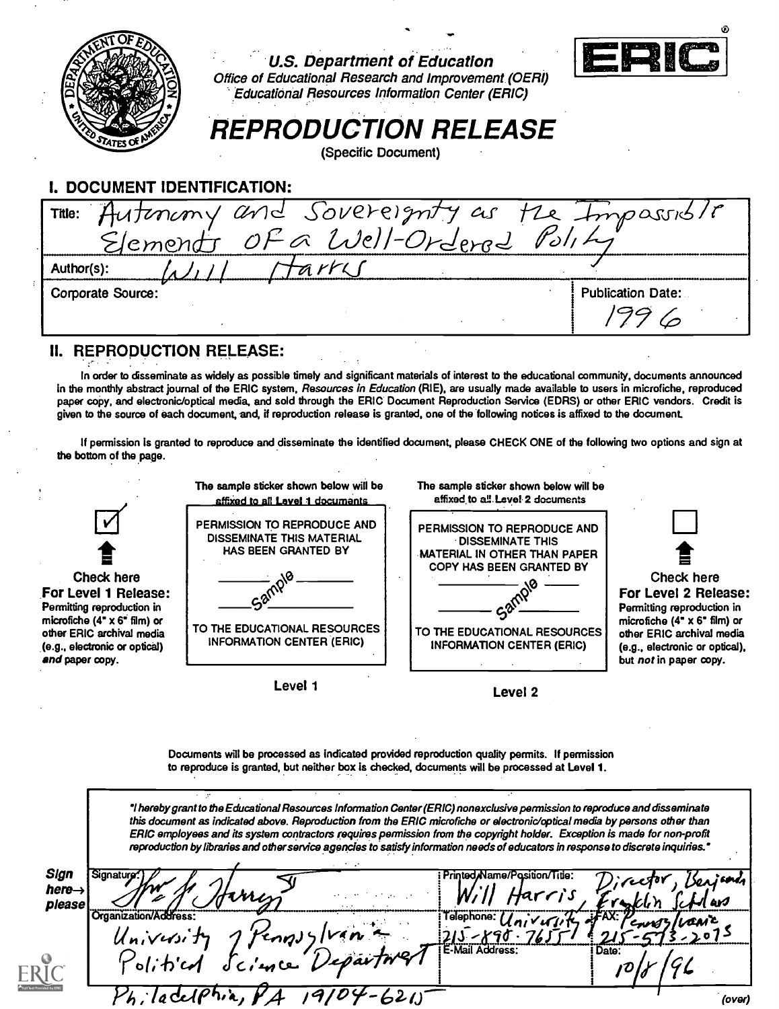| U.S. Department of Education<br>Office of Educational Research and Improvement (OERI)<br><b>Educational Resources Information Center (ERIC)</b><br><b>REPRODUCTION RELEASE</b><br>(Specific Document) |  |                          |  |  |
|-------------------------------------------------------------------------------------------------------------------------------------------------------------------------------------------------------|--|--------------------------|--|--|
| <b>I. DOCUMENT IDENTIFICATION:</b>                                                                                                                                                                    |  |                          |  |  |
|                                                                                                                                                                                                       |  |                          |  |  |
| Tille: Autenany and Sovereignty as the Impassible                                                                                                                                                     |  |                          |  |  |
| arri<br>Author(s):                                                                                                                                                                                    |  |                          |  |  |
| <b>Corporate Source:</b>                                                                                                                                                                              |  | <b>Publication Date:</b> |  |  |
|                                                                                                                                                                                                       |  |                          |  |  |

#### II. REPRODUCTION RELEASE:

In order to disseminate as widely as possible timely and significant materials of interest to the educational community, documents announced in the monthly abstract journal of the ERIC system, Resources in Education (RIE), are usually made available to users in microfiche, reproduced paper copy, and electronic/optical media, and sold through the ERIC Document Reproduction Service (EDRS) or other ERIC vendors. Credit is given to the source of each document, and, if reproduction release is granted, one of the following notices is affixed to the document.

If permission is granted to reproduce and disseminate the identified document, please CHECK ONE of the following two options and sign at the bottom of the page.



Documents will be processed as indicated provided reproduction quality permits. If permission to reproduce is granted, but neither box is checked, documents will be processed at Level 1.

'I hereby grant to the Educational Resources Information Center (ERIC) nonexclusive permission to reproduce and disseminate this document as indicated above. Reproduction from the ERIC microfiche or electronic/optical media by persons other than ERIC employees and its system contractors requires permission from the copyright holder. Exception is made for non-profit reproduction by libraries and other service agencies to satisfy information needs of educators in response to discrete inquiries.'

| <b>Sign</b><br>here→<br>please | Signatur<br>rnes                  |                        | Director, Benjand<br>لى ب    |
|--------------------------------|-----------------------------------|------------------------|------------------------------|
|                                | University<br>Pennyylvan          | Telephone: /           | <b>JFAX:</b><br>awc<br>Covel |
|                                | l'estime Department.<br>Political | <b>E-Mail Address:</b> | Date:                        |
|                                | --621.<br>$h.1$ eventi            |                        | (over)                       |